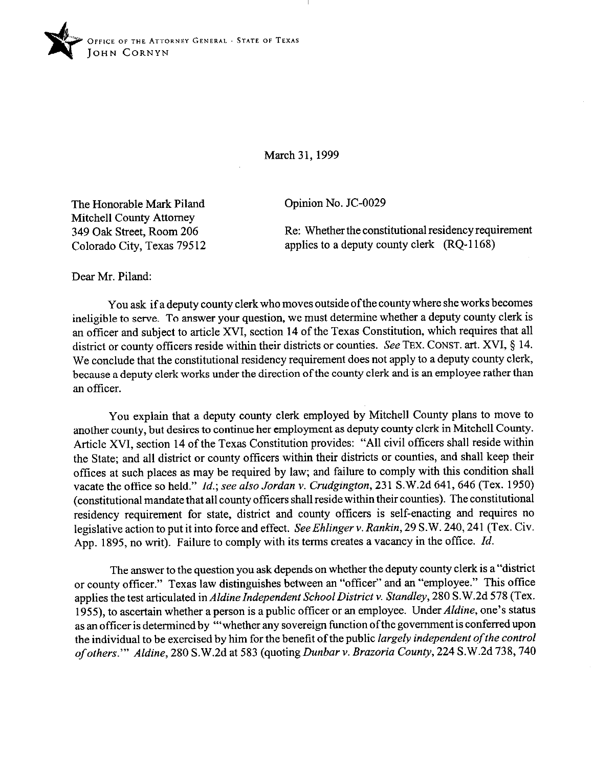

March 31.1999

Opinion No. JC-0029

The Honorable Mark Piland Mitchell County Attorney 349 Oak Street, Room 206 Colorado City, Texas 79512

Re: Whether the constitutional residency requirement applies to a deputy county clerk (RQ-1168)

Dear Mr. Piland:

You ask if a deputy county clerk who moves outside ofthe county where she works becomes ineligible to serve. To answer your question, we must determine whether a deputy county clerk is an officer and subject to article XVI, section 14 of the Texas Constitution, which requires that all district or county officers reside within their districts or counties. See TEX. CONST. art. XVI, § 14. We conclude that the constitutional residency requirement does not apply to a deputy county clerk, because a deputy clerk works under the direction of the county clerk and is an employee rather than an officer.

You explain that a deputy county clerk employed by Mitchell County plans to move to another county, but desires to continue her employment as deputy county clerk in Mitchell County. Article XVI, section 14 of the Texas Constitution provides: "All civil officers shall reside within the State; and all district or county officers within their districts or counties, and shall keep their offices at such places as may be required by law; and failure to comply with this condition shall vacate the office so held." *Id.; see also Jordan v. Crudgington*, 231 S.W.2d 641, 646 (Tex. 1950) (constitutional mandate that all county officers shall reside within their counties). The constitutional residency requirement for state, district and county officers is self-enacting and requires no legislative action to put it into force and effect. See Ehlinger v. Rankin, 29 S.W. 240, 241 (Tex. Civ. App. 1895, no writ). Failure to comply with its terms creates a vacancy in the office. *Id.* 

The answer to the question you ask depends on whether the deputy county clerk is a "district or county officer." Texas law distinguishes between an "officer" and an "employee." This office applies the test articulated in *Aldine Independent School District Y. Standley, 280* S.W.2d 578 (Tex. 1955), to ascertain whether a person is a public officer or an employee. Under *Aldine,* one's status as an officer is determined by "'whether any sovereign function ofthe government is conferred upon the individual to be exercised by him for the benefit of the public *largely independent of the control of others."' Aldine,* 280 S.W.2d at 583 (quoting *Dunbar v. Brazoria County, 224* S.W.2d 738,740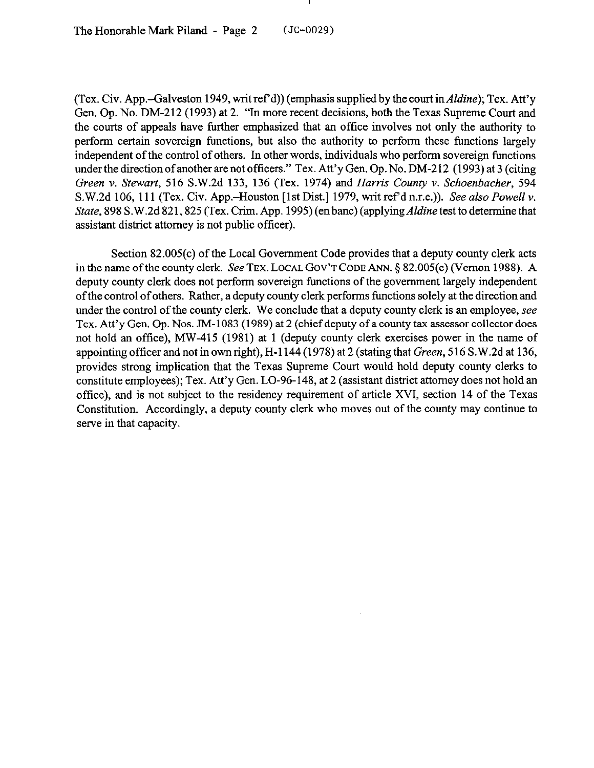The Honorable Mark Piland - Page  $2$  (JC-0029)

(Tex. Civ. App.-Galveston 1949, writ ref'd)) (emphasis supplied by the court in *Aldine*); Tex. Att'y Gen. Op. No. DM-212 (1993) at 2. "In more recent decisions, both the Texas Supreme Court and the courts of appeals have further emphasized that an office involves not only the authority to perform certain sovereign functions, but also the authority to perform these functions largely independent of the control of others. In other words, individuals who perform sovereign functions under the direction of another are not officers." Tex. Att'y Gen. Op. No. DM-212 (1993) at 3 (citing *Green v. Stewart,* 516 S.W.2d 133, 136 (Tex. 1974) and *Harris County v. Schoenbacher, 594*  S.W.2d 106, 111 (Tex. Civ. App.-Houston [lst Dist.] 1979, writ ref d n.r.e.)). See *also Powell v. State,* 898 S.W.2d 821,825 (Tex. Crim. App. 1995) (en bane) (applying *Aldine* test to determine that assistant district attorney is not public officer).

Section 82.005(c) of the Local Government Code provides that a deputy county clerk acts in the name of the county clerk. See TEX. LOCAL GOV'T CODE ANN.  $\S$  82.005(c) (Vernon 1988). A deputy county clerk does not perform sovereign functions of the government largely independent of the control of others. Rather, a deputy county clerk performs functions solely at the direction and under the control of the county clerk. We conclude that a deputy county clerk is an employee, see Tex. Att'y Gen. Op. Nos. JM-1083 (1989) at 2 (chief deputy of a county tax assessor collector does not hold an office), MW-415 (1981) at 1 (deputy county clerk exercises power in the name of appointing officer and not in own right), H-l 144 (1978) at 2 (stating that *Green,* 516 S.W.2d at 136, provides strong implication that the Texas Supreme Court would hold deputy county clerks to constitute employees); Tex. Att'y Gen. LO-96-148, at 2 (assistant district attorney does not hold an office), and is not subject to the residency requirement of article XVI, section 14 of the Texas Constitution. Accordingly, a deputy county clerk who moves out of the county may continue to serve in that capacity.